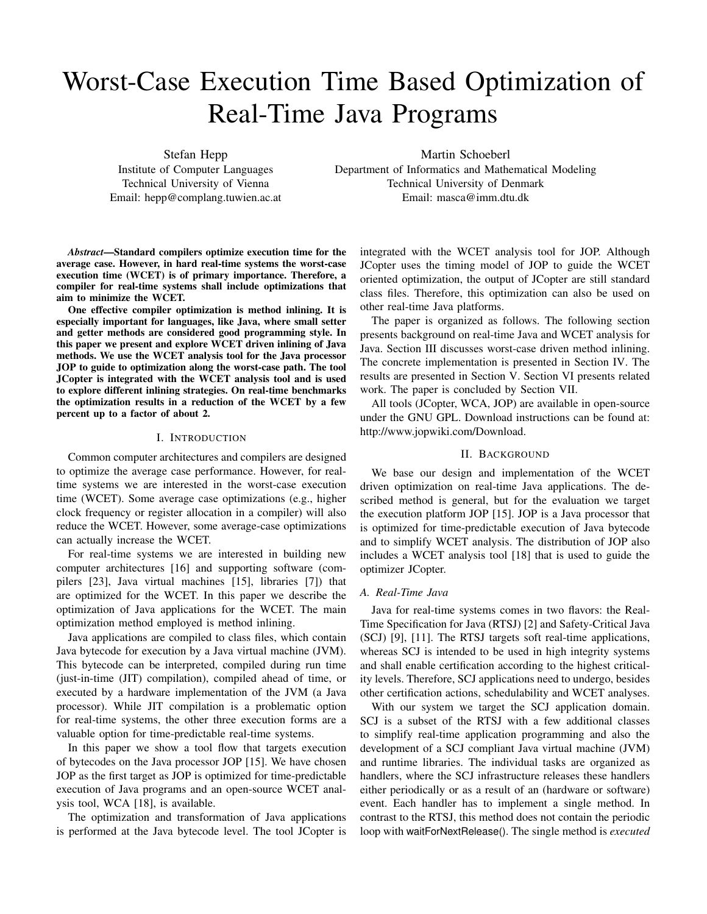# Worst-Case Execution Time Based Optimization of Real-Time Java Programs

Stefan Hepp Institute of Computer Languages Technical University of Vienna Email: hepp@complang.tuwien.ac.at

Martin Schoeberl

Department of Informatics and Mathematical Modeling Technical University of Denmark Email: masca@imm.dtu.dk

*Abstract*—Standard compilers optimize execution time for the average case. However, in hard real-time systems the worst-case execution time (WCET) is of primary importance. Therefore, a compiler for real-time systems shall include optimizations that aim to minimize the WCET.

One effective compiler optimization is method inlining. It is especially important for languages, like Java, where small setter and getter methods are considered good programming style. In this paper we present and explore WCET driven inlining of Java methods. We use the WCET analysis tool for the Java processor JOP to guide to optimization along the worst-case path. The tool JCopter is integrated with the WCET analysis tool and is used to explore different inlining strategies. On real-time benchmarks the optimization results in a reduction of the WCET by a few percent up to a factor of about 2.

#### I. INTRODUCTION

Common computer architectures and compilers are designed to optimize the average case performance. However, for realtime systems we are interested in the worst-case execution time (WCET). Some average case optimizations (e.g., higher clock frequency or register allocation in a compiler) will also reduce the WCET. However, some average-case optimizations can actually increase the WCET.

For real-time systems we are interested in building new computer architectures [16] and supporting software (compilers [23], Java virtual machines [15], libraries [7]) that are optimized for the WCET. In this paper we describe the optimization of Java applications for the WCET. The main optimization method employed is method inlining.

Java applications are compiled to class files, which contain Java bytecode for execution by a Java virtual machine (JVM). This bytecode can be interpreted, compiled during run time (just-in-time (JIT) compilation), compiled ahead of time, or executed by a hardware implementation of the JVM (a Java processor). While JIT compilation is a problematic option for real-time systems, the other three execution forms are a valuable option for time-predictable real-time systems.

In this paper we show a tool flow that targets execution of bytecodes on the Java processor JOP [15]. We have chosen JOP as the first target as JOP is optimized for time-predictable execution of Java programs and an open-source WCET analysis tool, WCA [18], is available.

The optimization and transformation of Java applications is performed at the Java bytecode level. The tool JCopter is integrated with the WCET analysis tool for JOP. Although JCopter uses the timing model of JOP to guide the WCET oriented optimization, the output of JCopter are still standard class files. Therefore, this optimization can also be used on other real-time Java platforms.

The paper is organized as follows. The following section presents background on real-time Java and WCET analysis for Java. Section III discusses worst-case driven method inlining. The concrete implementation is presented in Section IV. The results are presented in Section V. Section VI presents related work. The paper is concluded by Section VII.

All tools (JCopter, WCA, JOP) are available in open-source under the GNU GPL. Download instructions can be found at: http://www.jopwiki.com/Download.

## II. BACKGROUND

We base our design and implementation of the WCET driven optimization on real-time Java applications. The described method is general, but for the evaluation we target the execution platform JOP [15]. JOP is a Java processor that is optimized for time-predictable execution of Java bytecode and to simplify WCET analysis. The distribution of JOP also includes a WCET analysis tool [18] that is used to guide the optimizer JCopter.

## *A. Real-Time Java*

Java for real-time systems comes in two flavors: the Real-Time Specification for Java (RTSJ) [2] and Safety-Critical Java (SCJ) [9], [11]. The RTSJ targets soft real-time applications, whereas SCJ is intended to be used in high integrity systems and shall enable certification according to the highest criticality levels. Therefore, SCJ applications need to undergo, besides other certification actions, schedulability and WCET analyses.

With our system we target the SCJ application domain. SCJ is a subset of the RTSJ with a few additional classes to simplify real-time application programming and also the development of a SCJ compliant Java virtual machine (JVM) and runtime libraries. The individual tasks are organized as handlers, where the SCJ infrastructure releases these handlers either periodically or as a result of an (hardware or software) event. Each handler has to implement a single method. In contrast to the RTSJ, this method does not contain the periodic loop with waitForNextRelease(). The single method is *executed*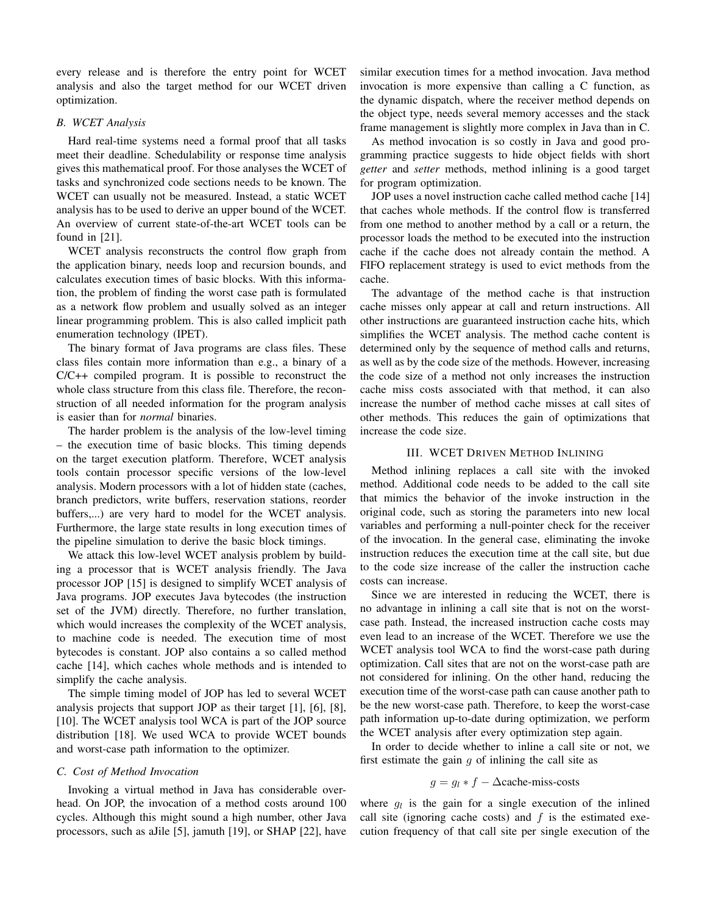every release and is therefore the entry point for WCET analysis and also the target method for our WCET driven optimization.

## *B. WCET Analysis*

Hard real-time systems need a formal proof that all tasks meet their deadline. Schedulability or response time analysis gives this mathematical proof. For those analyses the WCET of tasks and synchronized code sections needs to be known. The WCET can usually not be measured. Instead, a static WCET analysis has to be used to derive an upper bound of the WCET. An overview of current state-of-the-art WCET tools can be found in [21].

WCET analysis reconstructs the control flow graph from the application binary, needs loop and recursion bounds, and calculates execution times of basic blocks. With this information, the problem of finding the worst case path is formulated as a network flow problem and usually solved as an integer linear programming problem. This is also called implicit path enumeration technology (IPET).

The binary format of Java programs are class files. These class files contain more information than e.g., a binary of a C/C++ compiled program. It is possible to reconstruct the whole class structure from this class file. Therefore, the reconstruction of all needed information for the program analysis is easier than for *normal* binaries.

The harder problem is the analysis of the low-level timing – the execution time of basic blocks. This timing depends on the target execution platform. Therefore, WCET analysis tools contain processor specific versions of the low-level analysis. Modern processors with a lot of hidden state (caches, branch predictors, write buffers, reservation stations, reorder buffers,...) are very hard to model for the WCET analysis. Furthermore, the large state results in long execution times of the pipeline simulation to derive the basic block timings.

We attack this low-level WCET analysis problem by building a processor that is WCET analysis friendly. The Java processor JOP [15] is designed to simplify WCET analysis of Java programs. JOP executes Java bytecodes (the instruction set of the JVM) directly. Therefore, no further translation, which would increases the complexity of the WCET analysis, to machine code is needed. The execution time of most bytecodes is constant. JOP also contains a so called method cache [14], which caches whole methods and is intended to simplify the cache analysis.

The simple timing model of JOP has led to several WCET analysis projects that support JOP as their target [1], [6], [8], [10]. The WCET analysis tool WCA is part of the JOP source distribution [18]. We used WCA to provide WCET bounds and worst-case path information to the optimizer.

## *C. Cost of Method Invocation*

Invoking a virtual method in Java has considerable overhead. On JOP, the invocation of a method costs around 100 cycles. Although this might sound a high number, other Java processors, such as aJile [5], jamuth [19], or SHAP [22], have similar execution times for a method invocation. Java method invocation is more expensive than calling a C function, as the dynamic dispatch, where the receiver method depends on the object type, needs several memory accesses and the stack frame management is slightly more complex in Java than in C.

As method invocation is so costly in Java and good programming practice suggests to hide object fields with short *getter* and *setter* methods, method inlining is a good target for program optimization.

JOP uses a novel instruction cache called method cache [14] that caches whole methods. If the control flow is transferred from one method to another method by a call or a return, the processor loads the method to be executed into the instruction cache if the cache does not already contain the method. A FIFO replacement strategy is used to evict methods from the cache.

The advantage of the method cache is that instruction cache misses only appear at call and return instructions. All other instructions are guaranteed instruction cache hits, which simplifies the WCET analysis. The method cache content is determined only by the sequence of method calls and returns, as well as by the code size of the methods. However, increasing the code size of a method not only increases the instruction cache miss costs associated with that method, it can also increase the number of method cache misses at call sites of other methods. This reduces the gain of optimizations that increase the code size.

### III. WCET DRIVEN METHOD INLINING

Method inlining replaces a call site with the invoked method. Additional code needs to be added to the call site that mimics the behavior of the invoke instruction in the original code, such as storing the parameters into new local variables and performing a null-pointer check for the receiver of the invocation. In the general case, eliminating the invoke instruction reduces the execution time at the call site, but due to the code size increase of the caller the instruction cache costs can increase.

Since we are interested in reducing the WCET, there is no advantage in inlining a call site that is not on the worstcase path. Instead, the increased instruction cache costs may even lead to an increase of the WCET. Therefore we use the WCET analysis tool WCA to find the worst-case path during optimization. Call sites that are not on the worst-case path are not considered for inlining. On the other hand, reducing the execution time of the worst-case path can cause another path to be the new worst-case path. Therefore, to keep the worst-case path information up-to-date during optimization, we perform the WCET analysis after every optimization step again.

In order to decide whether to inline a call site or not, we first estimate the gain  $g$  of inlining the call site as

$$
g = g_l * f - \Delta \text{cache-miss-costs}
$$

where  $g_l$  is the gain for a single execution of the inlined call site (ignoring cache costs) and  $f$  is the estimated execution frequency of that call site per single execution of the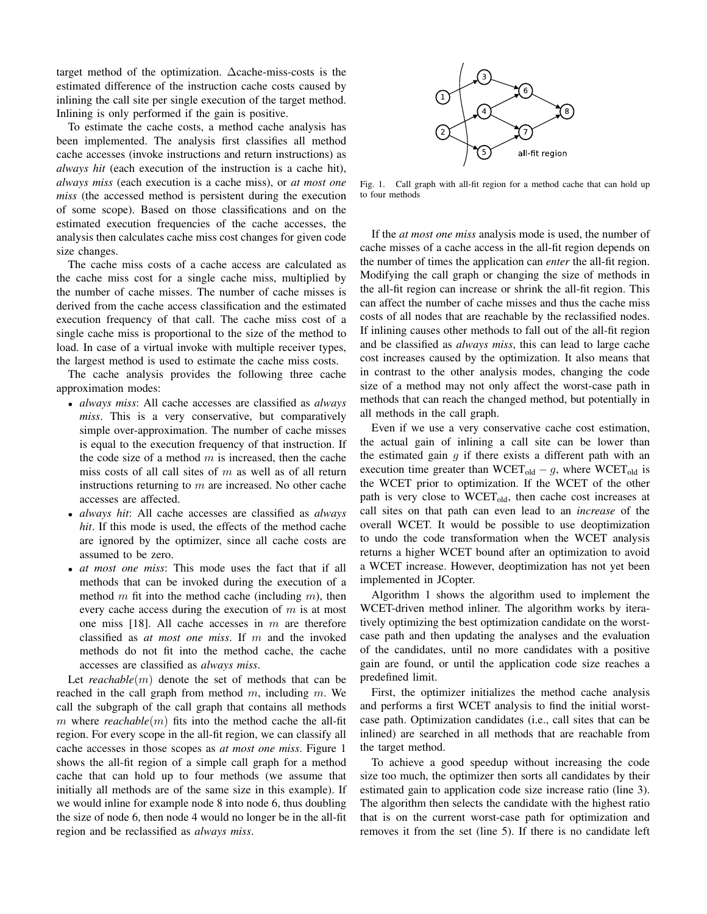target method of the optimization. ∆cache-miss-costs is the estimated difference of the instruction cache costs caused by inlining the call site per single execution of the target method. Inlining is only performed if the gain is positive.

To estimate the cache costs, a method cache analysis has been implemented. The analysis first classifies all method cache accesses (invoke instructions and return instructions) as *always hit* (each execution of the instruction is a cache hit), *always miss* (each execution is a cache miss), or *at most one miss* (the accessed method is persistent during the execution of some scope). Based on those classifications and on the estimated execution frequencies of the cache accesses, the analysis then calculates cache miss cost changes for given code size changes.

The cache miss costs of a cache access are calculated as the cache miss cost for a single cache miss, multiplied by the number of cache misses. The number of cache misses is derived from the cache access classification and the estimated execution frequency of that call. The cache miss cost of a single cache miss is proportional to the size of the method to load. In case of a virtual invoke with multiple receiver types, the largest method is used to estimate the cache miss costs.

The cache analysis provides the following three cache approximation modes:

- *always miss*: All cache accesses are classified as *always miss*. This is a very conservative, but comparatively simple over-approximation. The number of cache misses is equal to the execution frequency of that instruction. If the code size of a method  $m$  is increased, then the cache miss costs of all call sites of  $m$  as well as of all return instructions returning to  $m$  are increased. No other cache accesses are affected.
- *always hit*: All cache accesses are classified as *always hit*. If this mode is used, the effects of the method cache are ignored by the optimizer, since all cache costs are assumed to be zero.
- *at most one miss*: This mode uses the fact that if all methods that can be invoked during the execution of a method  $m$  fit into the method cache (including  $m$ ), then every cache access during the execution of  $m$  is at most one miss [18]. All cache accesses in  $m$  are therefore classified as *at most one miss*. If m and the invoked methods do not fit into the method cache, the cache accesses are classified as *always miss*.

Let  $reachable(m)$  denote the set of methods that can be reached in the call graph from method  $m$ , including  $m$ . We call the subgraph of the call graph that contains all methods m where  $reachable(m)$  fits into the method cache the all-fit region. For every scope in the all-fit region, we can classify all cache accesses in those scopes as *at most one miss*. Figure 1 shows the all-fit region of a simple call graph for a method cache that can hold up to four methods (we assume that initially all methods are of the same size in this example). If we would inline for example node 8 into node 6, thus doubling the size of node 6, then node 4 would no longer be in the all-fit region and be reclassified as *always miss*.



Fig. 1. Call graph with all-fit region for a method cache that can hold up to four methods

If the *at most one miss* analysis mode is used, the number of cache misses of a cache access in the all-fit region depends on the number of times the application can *enter* the all-fit region. Modifying the call graph or changing the size of methods in the all-fit region can increase or shrink the all-fit region. This can affect the number of cache misses and thus the cache miss costs of all nodes that are reachable by the reclassified nodes. If inlining causes other methods to fall out of the all-fit region and be classified as *always miss*, this can lead to large cache cost increases caused by the optimization. It also means that in contrast to the other analysis modes, changing the code size of a method may not only affect the worst-case path in methods that can reach the changed method, but potentially in all methods in the call graph.

Even if we use a very conservative cache cost estimation, the actual gain of inlining a call site can be lower than the estimated gain  $g$  if there exists a different path with an execution time greater than WCET<sub>old</sub> – g, where WCET<sub>old</sub> is the WCET prior to optimization. If the WCET of the other path is very close to  $WCEPT_{old}$ , then cache cost increases at call sites on that path can even lead to an *increase* of the overall WCET. It would be possible to use deoptimization to undo the code transformation when the WCET analysis returns a higher WCET bound after an optimization to avoid a WCET increase. However, deoptimization has not yet been implemented in JCopter.

Algorithm 1 shows the algorithm used to implement the WCET-driven method inliner. The algorithm works by iteratively optimizing the best optimization candidate on the worstcase path and then updating the analyses and the evaluation of the candidates, until no more candidates with a positive gain are found, or until the application code size reaches a predefined limit.

First, the optimizer initializes the method cache analysis and performs a first WCET analysis to find the initial worstcase path. Optimization candidates (i.e., call sites that can be inlined) are searched in all methods that are reachable from the target method.

To achieve a good speedup without increasing the code size too much, the optimizer then sorts all candidates by their estimated gain to application code size increase ratio (line 3). The algorithm then selects the candidate with the highest ratio that is on the current worst-case path for optimization and removes it from the set (line 5). If there is no candidate left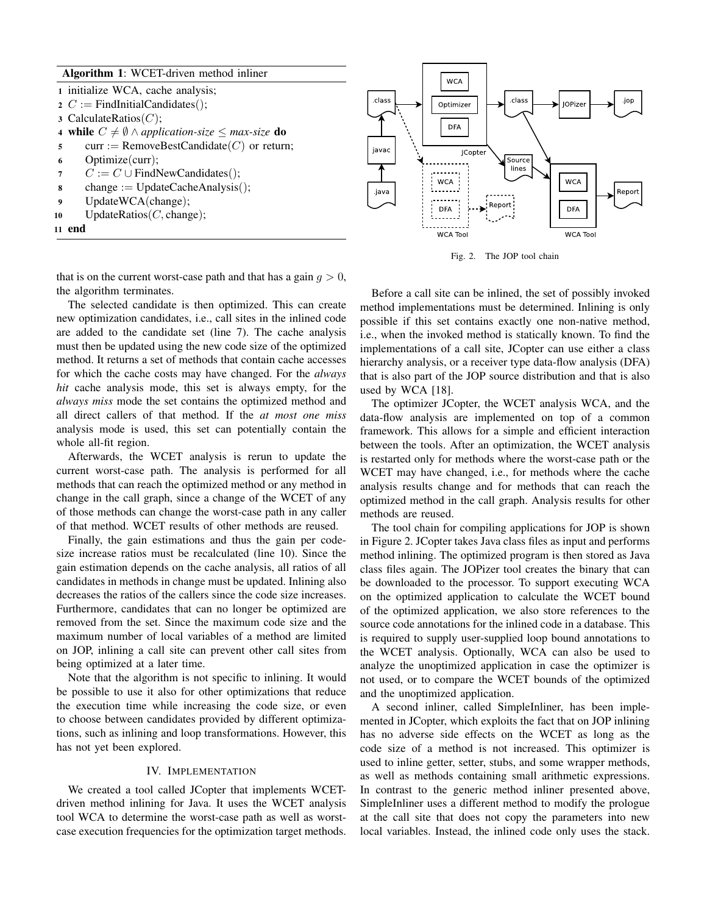| <b>Algorithm 1: WCET-driven method inliner</b>                     |
|--------------------------------------------------------------------|
| 1 initialize WCA, cache analysis;                                  |
| 2 $C :=$ FindInitialCandidates();                                  |
| 3 CalculateRatios $(C)$ ;                                          |
| 4 while $C \neq \emptyset \land application-size \leq max-size$ do |
| curr := RemoveBestCandidate( $C$ ) or return;<br>5                 |
| Optimize (curr);<br>6                                              |
| $C := C \cup FindNewC and dates();$<br>7                           |
| $change := UpdateCacheAnalysis();$<br>8                            |
| UpdateWCA(change);<br>9                                            |
| UpdateRatios $(C, change)$ ;<br>10                                 |
| end                                                                |



Fig. 2. The JOP tool chain

that is on the current worst-case path and that has a gain  $q > 0$ , the algorithm terminates.

The selected candidate is then optimized. This can create new optimization candidates, i.e., call sites in the inlined code are added to the candidate set (line 7). The cache analysis must then be updated using the new code size of the optimized method. It returns a set of methods that contain cache accesses for which the cache costs may have changed. For the *always hit* cache analysis mode, this set is always empty, for the *always miss* mode the set contains the optimized method and all direct callers of that method. If the *at most one miss* analysis mode is used, this set can potentially contain the whole all-fit region.

Afterwards, the WCET analysis is rerun to update the current worst-case path. The analysis is performed for all methods that can reach the optimized method or any method in change in the call graph, since a change of the WCET of any of those methods can change the worst-case path in any caller of that method. WCET results of other methods are reused.

Finally, the gain estimations and thus the gain per codesize increase ratios must be recalculated (line 10). Since the gain estimation depends on the cache analysis, all ratios of all candidates in methods in change must be updated. Inlining also decreases the ratios of the callers since the code size increases. Furthermore, candidates that can no longer be optimized are removed from the set. Since the maximum code size and the maximum number of local variables of a method are limited on JOP, inlining a call site can prevent other call sites from being optimized at a later time.

Note that the algorithm is not specific to inlining. It would be possible to use it also for other optimizations that reduce the execution time while increasing the code size, or even to choose between candidates provided by different optimizations, such as inlining and loop transformations. However, this has not yet been explored.

## IV. IMPLEMENTATION

We created a tool called JCopter that implements WCETdriven method inlining for Java. It uses the WCET analysis tool WCA to determine the worst-case path as well as worstcase execution frequencies for the optimization target methods.

Before a call site can be inlined, the set of possibly invoked method implementations must be determined. Inlining is only possible if this set contains exactly one non-native method, i.e., when the invoked method is statically known. To find the implementations of a call site, JCopter can use either a class hierarchy analysis, or a receiver type data-flow analysis (DFA) that is also part of the JOP source distribution and that is also used by WCA [18].

The optimizer JCopter, the WCET analysis WCA, and the data-flow analysis are implemented on top of a common framework. This allows for a simple and efficient interaction between the tools. After an optimization, the WCET analysis is restarted only for methods where the worst-case path or the WCET may have changed, i.e., for methods where the cache analysis results change and for methods that can reach the optimized method in the call graph. Analysis results for other methods are reused.

The tool chain for compiling applications for JOP is shown in Figure 2. JCopter takes Java class files as input and performs method inlining. The optimized program is then stored as Java class files again. The JOPizer tool creates the binary that can be downloaded to the processor. To support executing WCA on the optimized application to calculate the WCET bound of the optimized application, we also store references to the source code annotations for the inlined code in a database. This is required to supply user-supplied loop bound annotations to the WCET analysis. Optionally, WCA can also be used to analyze the unoptimized application in case the optimizer is not used, or to compare the WCET bounds of the optimized and the unoptimized application.

A second inliner, called SimpleInliner, has been implemented in JCopter, which exploits the fact that on JOP inlining has no adverse side effects on the WCET as long as the code size of a method is not increased. This optimizer is used to inline getter, setter, stubs, and some wrapper methods, as well as methods containing small arithmetic expressions. In contrast to the generic method inliner presented above, SimpleInliner uses a different method to modify the prologue at the call site that does not copy the parameters into new local variables. Instead, the inlined code only uses the stack.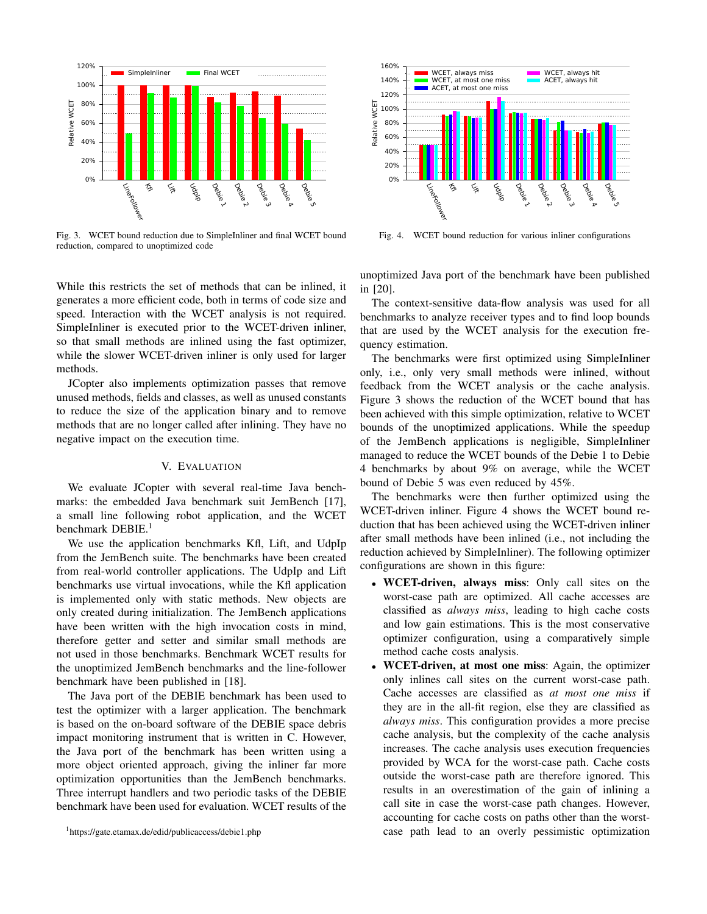

Fig. 3. WCET bound reduction due to SimpleInliner and final WCET bound reduction, compared to unoptimized code

While this restricts the set of methods that can be inlined, it generates a more efficient code, both in terms of code size and speed. Interaction with the WCET analysis is not required. SimpleInliner is executed prior to the WCET-driven inliner, so that small methods are inlined using the fast optimizer, while the slower WCET-driven inliner is only used for larger methods.

JCopter also implements optimization passes that remove unused methods, fields and classes, as well as unused constants to reduce the size of the application binary and to remove methods that are no longer called after inlining. They have no negative impact on the execution time.

## V. EVALUATION

We evaluate JCopter with several real-time Java benchmarks: the embedded Java benchmark suit JemBench [17], a small line following robot application, and the WCET benchmark DEBIE.<sup>1</sup>

We use the application benchmarks Kfl, Lift, and UdpIp from the JemBench suite. The benchmarks have been created from real-world controller applications. The UdpIp and Lift benchmarks use virtual invocations, while the Kfl application is implemented only with static methods. New objects are only created during initialization. The JemBench applications have been written with the high invocation costs in mind, therefore getter and setter and similar small methods are not used in those benchmarks. Benchmark WCET results for the unoptimized JemBench benchmarks and the line-follower benchmark have been published in [18].

The Java port of the DEBIE benchmark has been used to test the optimizer with a larger application. The benchmark is based on the on-board software of the DEBIE space debris impact monitoring instrument that is written in C. However, the Java port of the benchmark has been written using a more object oriented approach, giving the inliner far more optimization opportunities than the JemBench benchmarks. Three interrupt handlers and two periodic tasks of the DEBIE benchmark have been used for evaluation. WCET results of the





Fig. 4. WCET bound reduction for various inliner configurations

unoptimized Java port of the benchmark have been published in [20].

The context-sensitive data-flow analysis was used for all benchmarks to analyze receiver types and to find loop bounds that are used by the WCET analysis for the execution frequency estimation.

The benchmarks were first optimized using SimpleInliner only, i.e., only very small methods were inlined, without feedback from the WCET analysis or the cache analysis. Figure 3 shows the reduction of the WCET bound that has been achieved with this simple optimization, relative to WCET bounds of the unoptimized applications. While the speedup of the JemBench applications is negligible, SimpleInliner managed to reduce the WCET bounds of the Debie 1 to Debie 4 benchmarks by about 9% on average, while the WCET bound of Debie 5 was even reduced by 45%.

The benchmarks were then further optimized using the WCET-driven inliner. Figure 4 shows the WCET bound reduction that has been achieved using the WCET-driven inliner after small methods have been inlined (i.e., not including the reduction achieved by SimpleInliner). The following optimizer configurations are shown in this figure:

- WCET-driven, always miss: Only call sites on the worst-case path are optimized. All cache accesses are classified as *always miss*, leading to high cache costs and low gain estimations. This is the most conservative optimizer configuration, using a comparatively simple method cache costs analysis.
- WCET-driven, at most one miss: Again, the optimizer only inlines call sites on the current worst-case path. Cache accesses are classified as *at most one miss* if they are in the all-fit region, else they are classified as *always miss*. This configuration provides a more precise cache analysis, but the complexity of the cache analysis increases. The cache analysis uses execution frequencies provided by WCA for the worst-case path. Cache costs outside the worst-case path are therefore ignored. This results in an overestimation of the gain of inlining a call site in case the worst-case path changes. However, accounting for cache costs on paths other than the worstcase path lead to an overly pessimistic optimization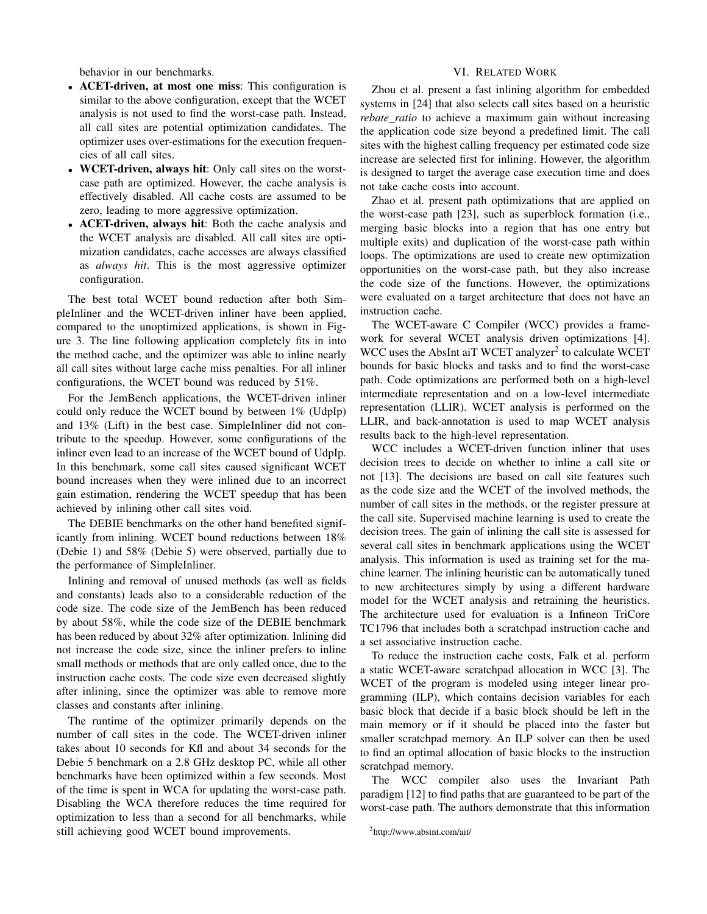behavior in our benchmarks.

- ACET-driven, at most one miss: This configuration is similar to the above configuration, except that the WCET analysis is not used to find the worst-case path. Instead, all call sites are potential optimization candidates. The optimizer uses over-estimations for the execution frequencies of all call sites.
- WCET-driven, always hit: Only call sites on the worstcase path are optimized. However, the cache analysis is effectively disabled. All cache costs are assumed to be zero, leading to more aggressive optimization.
- ACET-driven, always hit: Both the cache analysis and the WCET analysis are disabled. All call sites are optimization candidates, cache accesses are always classified as *always hit*. This is the most aggressive optimizer configuration.

The best total WCET bound reduction after both SimpleInliner and the WCET-driven inliner have been applied, compared to the unoptimized applications, is shown in Figure 3. The line following application completely fits in into the method cache, and the optimizer was able to inline nearly all call sites without large cache miss penalties. For all inliner configurations, the WCET bound was reduced by 51%.

For the JemBench applications, the WCET-driven inliner could only reduce the WCET bound by between 1% (UdpIp) and 13% (Lift) in the best case. SimpleInliner did not contribute to the speedup. However, some configurations of the inliner even lead to an increase of the WCET bound of UdpIp. In this benchmark, some call sites caused significant WCET bound increases when they were inlined due to an incorrect gain estimation, rendering the WCET speedup that has been achieved by inlining other call sites void.

The DEBIE benchmarks on the other hand benefited significantly from inlining. WCET bound reductions between 18% (Debie 1) and 58% (Debie 5) were observed, partially due to the performance of SimpleInliner.

Inlining and removal of unused methods (as well as fields and constants) leads also to a considerable reduction of the code size. The code size of the JemBench has been reduced by about 58%, while the code size of the DEBIE benchmark has been reduced by about 32% after optimization. Inlining did not increase the code size, since the inliner prefers to inline small methods or methods that are only called once, due to the instruction cache costs. The code size even decreased slightly after inlining, since the optimizer was able to remove more classes and constants after inlining.

The runtime of the optimizer primarily depends on the number of call sites in the code. The WCET-driven inliner takes about 10 seconds for Kfl and about 34 seconds for the Debie 5 benchmark on a 2.8 GHz desktop PC, while all other benchmarks have been optimized within a few seconds. Most of the time is spent in WCA for updating the worst-case path. Disabling the WCA therefore reduces the time required for optimization to less than a second for all benchmarks, while still achieving good WCET bound improvements.

#### VI. RELATED WORK

Zhou et al. present a fast inlining algorithm for embedded systems in [24] that also selects call sites based on a heuristic *rebate ratio* to achieve a maximum gain without increasing the application code size beyond a predefined limit. The call sites with the highest calling frequency per estimated code size increase are selected first for inlining. However, the algorithm is designed to target the average case execution time and does not take cache costs into account.

Zhao et al. present path optimizations that are applied on the worst-case path [23], such as superblock formation (i.e., merging basic blocks into a region that has one entry but multiple exits) and duplication of the worst-case path within loops. The optimizations are used to create new optimization opportunities on the worst-case path, but they also increase the code size of the functions. However, the optimizations were evaluated on a target architecture that does not have an instruction cache.

The WCET-aware C Compiler (WCC) provides a framework for several WCET analysis driven optimizations [4]. WCC uses the AbsInt aiT WCET analyzer<sup>2</sup> to calculate WCET bounds for basic blocks and tasks and to find the worst-case path. Code optimizations are performed both on a high-level intermediate representation and on a low-level intermediate representation (LLIR). WCET analysis is performed on the LLIR, and back-annotation is used to map WCET analysis results back to the high-level representation.

WCC includes a WCET-driven function inliner that uses decision trees to decide on whether to inline a call site or not [13]. The decisions are based on call site features such as the code size and the WCET of the involved methods, the number of call sites in the methods, or the register pressure at the call site. Supervised machine learning is used to create the decision trees. The gain of inlining the call site is assessed for several call sites in benchmark applications using the WCET analysis. This information is used as training set for the machine learner. The inlining heuristic can be automatically tuned to new architectures simply by using a different hardware model for the WCET analysis and retraining the heuristics. The architecture used for evaluation is a Infineon TriCore TC1796 that includes both a scratchpad instruction cache and a set associative instruction cache.

To reduce the instruction cache costs, Falk et al. perform a static WCET-aware scratchpad allocation in WCC [3]. The WCET of the program is modeled using integer linear programming (ILP), which contains decision variables for each basic block that decide if a basic block should be left in the main memory or if it should be placed into the faster but smaller scratchpad memory. An ILP solver can then be used to find an optimal allocation of basic blocks to the instruction scratchpad memory.

The WCC compiler also uses the Invariant Path paradigm [12] to find paths that are guaranteed to be part of the worst-case path. The authors demonstrate that this information

<sup>2</sup>http://www.absint.com/ait/